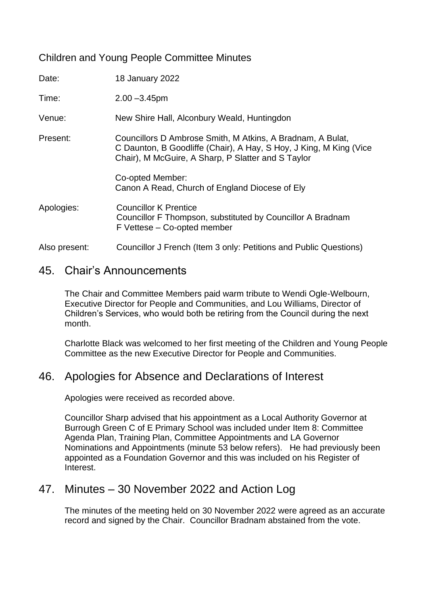#### Children and Young People Committee Minutes

| Date:         | 18 January 2022                                                                                                                                                                        |
|---------------|----------------------------------------------------------------------------------------------------------------------------------------------------------------------------------------|
| Time:         | $2.00 - 3.45$ pm                                                                                                                                                                       |
| Venue:        | New Shire Hall, Alconbury Weald, Huntingdon                                                                                                                                            |
| Present:      | Councillors D Ambrose Smith, M Atkins, A Bradnam, A Bulat,<br>C Daunton, B Goodliffe (Chair), A Hay, S Hoy, J King, M King (Vice<br>Chair), M McGuire, A Sharp, P Slatter and S Taylor |
|               | Co-opted Member:<br>Canon A Read, Church of England Diocese of Ely                                                                                                                     |
| Apologies:    | <b>Councillor K Prentice</b><br>Councillor F Thompson, substituted by Councillor A Bradnam<br>F Vettese - Co-opted member                                                              |
| Also present: | Councillor J French (Item 3 only: Petitions and Public Questions)                                                                                                                      |

### 45. Chair's Announcements

The Chair and Committee Members paid warm tribute to Wendi Ogle-Welbourn, Executive Director for People and Communities, and Lou Williams, Director of Children's Services, who would both be retiring from the Council during the next month.

Charlotte Black was welcomed to her first meeting of the Children and Young People Committee as the new Executive Director for People and Communities.

## 46. Apologies for Absence and Declarations of Interest

Apologies were received as recorded above.

Councillor Sharp advised that his appointment as a Local Authority Governor at Burrough Green C of E Primary School was included under Item 8: Committee Agenda Plan, Training Plan, Committee Appointments and LA Governor Nominations and Appointments (minute 53 below refers). He had previously been appointed as a Foundation Governor and this was included on his Register of Interest.

## 47. Minutes – 30 November 2022 and Action Log

The minutes of the meeting held on 30 November 2022 were agreed as an accurate record and signed by the Chair. Councillor Bradnam abstained from the vote.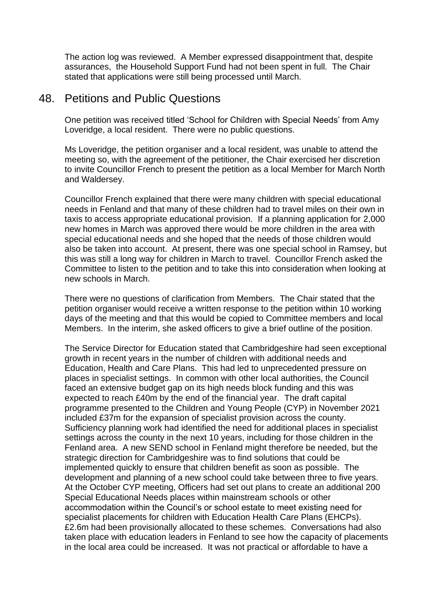The action log was reviewed. A Member expressed disappointment that, despite assurances, the Household Support Fund had not been spent in full. The Chair stated that applications were still being processed until March.

#### 48. Petitions and Public Questions

One petition was received titled 'School for Children with Special Needs' from Amy Loveridge, a local resident. There were no public questions.

Ms Loveridge, the petition organiser and a local resident, was unable to attend the meeting so, with the agreement of the petitioner, the Chair exercised her discretion to invite Councillor French to present the petition as a local Member for March North and Waldersey.

Councillor French explained that there were many children with special educational needs in Fenland and that many of these children had to travel miles on their own in taxis to access appropriate educational provision. If a planning application for 2,000 new homes in March was approved there would be more children in the area with special educational needs and she hoped that the needs of those children would also be taken into account. At present, there was one special school in Ramsey, but this was still a long way for children in March to travel. Councillor French asked the Committee to listen to the petition and to take this into consideration when looking at new schools in March.

There were no questions of clarification from Members. The Chair stated that the petition organiser would receive a written response to the petition within 10 working days of the meeting and that this would be copied to Committee members and local Members. In the interim, she asked officers to give a brief outline of the position.

The Service Director for Education stated that Cambridgeshire had seen exceptional growth in recent years in the number of children with additional needs and Education, Health and Care Plans. This had led to unprecedented pressure on places in specialist settings. In common with other local authorities, the Council faced an extensive budget gap on its high needs block funding and this was expected to reach £40m by the end of the financial year. The draft capital programme presented to the Children and Young People (CYP) in November 2021 included £37m for the expansion of specialist provision across the county. Sufficiency planning work had identified the need for additional places in specialist settings across the county in the next 10 years, including for those children in the Fenland area. A new SEND school in Fenland might therefore be needed, but the strategic direction for Cambridgeshire was to find solutions that could be implemented quickly to ensure that children benefit as soon as possible. The development and planning of a new school could take between three to five years. At the October CYP meeting, Officers had set out plans to create an additional 200 Special Educational Needs places within mainstream schools or other accommodation within the Council's or school estate to meet existing need for specialist placements for children with Education Health Care Plans (EHCPs). £2.6m had been provisionally allocated to these schemes. Conversations had also taken place with education leaders in Fenland to see how the capacity of placements in the local area could be increased. It was not practical or affordable to have a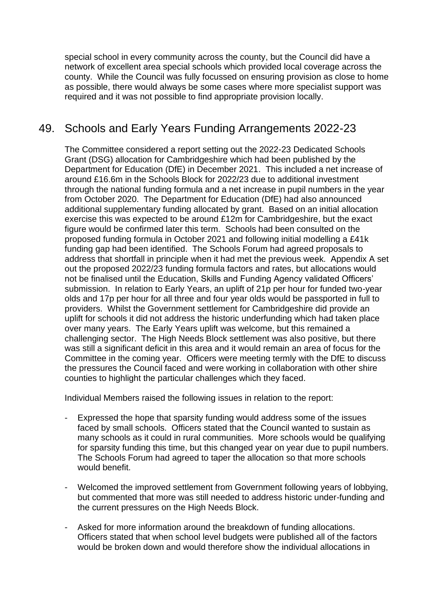special school in every community across the county, but the Council did have a network of excellent area special schools which provided local coverage across the county. While the Council was fully focussed on ensuring provision as close to home as possible, there would always be some cases where more specialist support was required and it was not possible to find appropriate provision locally.

# 49. Schools and Early Years Funding Arrangements 2022-23

The Committee considered a report setting out the 2022-23 Dedicated Schools Grant (DSG) allocation for Cambridgeshire which had been published by the Department for Education (DfE) in December 2021. This included a net increase of around £16.6m in the Schools Block for 2022/23 due to additional investment through the national funding formula and a net increase in pupil numbers in the year from October 2020. The Department for Education (DfE) had also announced additional supplementary funding allocated by grant. Based on an initial allocation exercise this was expected to be around £12m for Cambridgeshire, but the exact figure would be confirmed later this term. Schools had been consulted on the proposed funding formula in October 2021 and following initial modelling a £41k funding gap had been identified. The Schools Forum had agreed proposals to address that shortfall in principle when it had met the previous week. Appendix A set out the proposed 2022/23 funding formula factors and rates, but allocations would not be finalised until the Education, Skills and Funding Agency validated Officers' submission. In relation to Early Years, an uplift of 21p per hour for funded two-year olds and 17p per hour for all three and four year olds would be passported in full to providers. Whilst the Government settlement for Cambridgeshire did provide an uplift for schools it did not address the historic underfunding which had taken place over many years. The Early Years uplift was welcome, but this remained a challenging sector. The High Needs Block settlement was also positive, but there was still a significant deficit in this area and it would remain an area of focus for the Committee in the coming year. Officers were meeting termly with the DfE to discuss the pressures the Council faced and were working in collaboration with other shire counties to highlight the particular challenges which they faced.

Individual Members raised the following issues in relation to the report:

- Expressed the hope that sparsity funding would address some of the issues faced by small schools. Officers stated that the Council wanted to sustain as many schools as it could in rural communities. More schools would be qualifying for sparsity funding this time, but this changed year on year due to pupil numbers. The Schools Forum had agreed to taper the allocation so that more schools would benefit.
- Welcomed the improved settlement from Government following years of lobbying, but commented that more was still needed to address historic under-funding and the current pressures on the High Needs Block.
- Asked for more information around the breakdown of funding allocations. Officers stated that when school level budgets were published all of the factors would be broken down and would therefore show the individual allocations in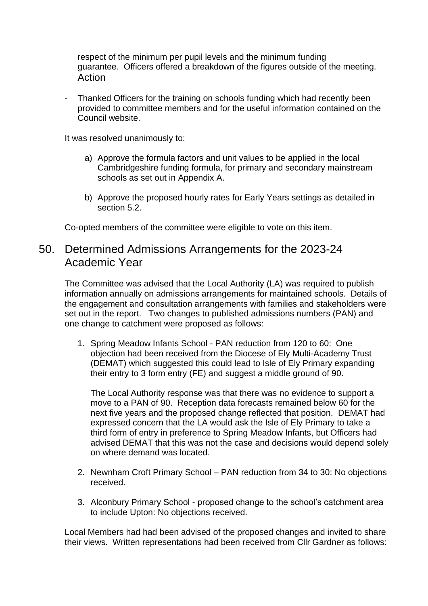respect of the minimum per pupil levels and the minimum funding guarantee. Officers offered a breakdown of the figures outside of the meeting. Action

- Thanked Officers for the training on schools funding which had recently been provided to committee members and for the useful information contained on the Council website.

It was resolved unanimously to:

- a) Approve the formula factors and unit values to be applied in the local Cambridgeshire funding formula, for primary and secondary mainstream schools as set out in Appendix A.
- b) Approve the proposed hourly rates for Early Years settings as detailed in section 5.2.

Co-opted members of the committee were eligible to vote on this item.

### 50. Determined Admissions Arrangements for the 2023-24 Academic Year

The Committee was advised that the Local Authority (LA) was required to publish information annually on admissions arrangements for maintained schools. Details of the engagement and consultation arrangements with families and stakeholders were set out in the report. Two changes to published admissions numbers (PAN) and one change to catchment were proposed as follows:

1. Spring Meadow Infants School - PAN reduction from 120 to 60: One objection had been received from the Diocese of Ely Multi-Academy Trust (DEMAT) which suggested this could lead to Isle of Ely Primary expanding their entry to 3 form entry (FE) and suggest a middle ground of 90.

The Local Authority response was that there was no evidence to support a move to a PAN of 90. Reception data forecasts remained below 60 for the next five years and the proposed change reflected that position. DEMAT had expressed concern that the LA would ask the Isle of Ely Primary to take a third form of entry in preference to Spring Meadow Infants, but Officers had advised DEMAT that this was not the case and decisions would depend solely on where demand was located.

- 2. Newnham Croft Primary School PAN reduction from 34 to 30: No objections received.
- 3. Alconbury Primary School proposed change to the school's catchment area to include Upton: No objections received.

Local Members had had been advised of the proposed changes and invited to share their views. Written representations had been received from Cllr Gardner as follows: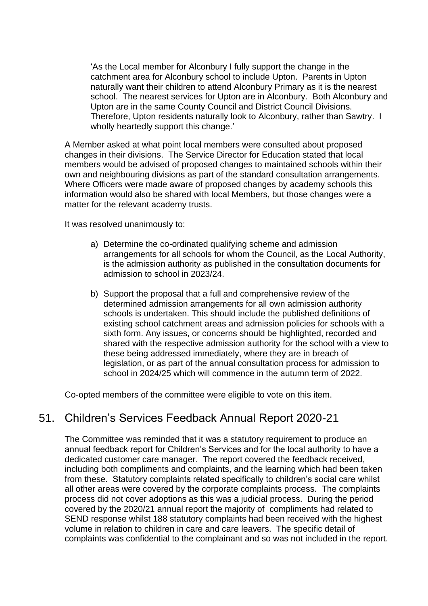'As the Local member for Alconbury I fully support the change in the catchment area for Alconbury school to include Upton. Parents in Upton naturally want their children to attend Alconbury Primary as it is the nearest school. The nearest services for Upton are in Alconbury. Both Alconbury and Upton are in the same County Council and District Council Divisions. Therefore, Upton residents naturally look to Alconbury, rather than Sawtry. I wholly heartedly support this change.'

A Member asked at what point local members were consulted about proposed changes in their divisions. The Service Director for Education stated that local members would be advised of proposed changes to maintained schools within their own and neighbouring divisions as part of the standard consultation arrangements. Where Officers were made aware of proposed changes by academy schools this information would also be shared with local Members, but those changes were a matter for the relevant academy trusts.

It was resolved unanimously to:

- a) Determine the co-ordinated qualifying scheme and admission arrangements for all schools for whom the Council, as the Local Authority, is the admission authority as published in the consultation documents for admission to school in 2023/24.
- b) Support the proposal that a full and comprehensive review of the determined admission arrangements for all own admission authority schools is undertaken. This should include the published definitions of existing school catchment areas and admission policies for schools with a sixth form. Any issues, or concerns should be highlighted, recorded and shared with the respective admission authority for the school with a view to these being addressed immediately, where they are in breach of legislation, or as part of the annual consultation process for admission to school in 2024/25 which will commence in the autumn term of 2022.

Co-opted members of the committee were eligible to vote on this item.

## 51. Children's Services Feedback Annual Report 2020-21

The Committee was reminded that it was a statutory requirement to produce an annual feedback report for Children's Services and for the local authority to have a dedicated customer care manager. The report covered the feedback received, including both compliments and complaints, and the learning which had been taken from these. Statutory complaints related specifically to children's social care whilst all other areas were covered by the corporate complaints process. The complaints process did not cover adoptions as this was a judicial process. During the period covered by the 2020/21 annual report the majority of compliments had related to SEND response whilst 188 statutory complaints had been received with the highest volume in relation to children in care and care leavers. The specific detail of complaints was confidential to the complainant and so was not included in the report.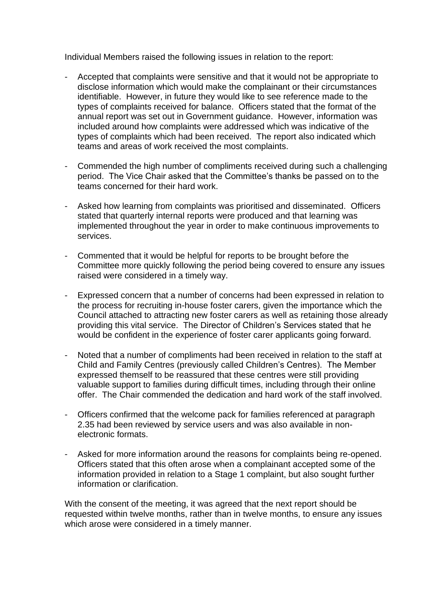Individual Members raised the following issues in relation to the report:

- Accepted that complaints were sensitive and that it would not be appropriate to disclose information which would make the complainant or their circumstances identifiable. However, in future they would like to see reference made to the types of complaints received for balance. Officers stated that the format of the annual report was set out in Government guidance. However, information was included around how complaints were addressed which was indicative of the types of complaints which had been received. The report also indicated which teams and areas of work received the most complaints.
- Commended the high number of compliments received during such a challenging period. The Vice Chair asked that the Committee's thanks be passed on to the teams concerned for their hard work.
- Asked how learning from complaints was prioritised and disseminated. Officers stated that quarterly internal reports were produced and that learning was implemented throughout the year in order to make continuous improvements to services.
- Commented that it would be helpful for reports to be brought before the Committee more quickly following the period being covered to ensure any issues raised were considered in a timely way.
- Expressed concern that a number of concerns had been expressed in relation to the process for recruiting in-house foster carers, given the importance which the Council attached to attracting new foster carers as well as retaining those already providing this vital service. The Director of Children's Services stated that he would be confident in the experience of foster carer applicants going forward.
- Noted that a number of compliments had been received in relation to the staff at Child and Family Centres (previously called Children's Centres). The Member expressed themself to be reassured that these centres were still providing valuable support to families during difficult times, including through their online offer. The Chair commended the dedication and hard work of the staff involved.
- Officers confirmed that the welcome pack for families referenced at paragraph 2.35 had been reviewed by service users and was also available in nonelectronic formats.
- Asked for more information around the reasons for complaints being re-opened. Officers stated that this often arose when a complainant accepted some of the information provided in relation to a Stage 1 complaint, but also sought further information or clarification.

With the consent of the meeting, it was agreed that the next report should be requested within twelve months, rather than in twelve months, to ensure any issues which arose were considered in a timely manner.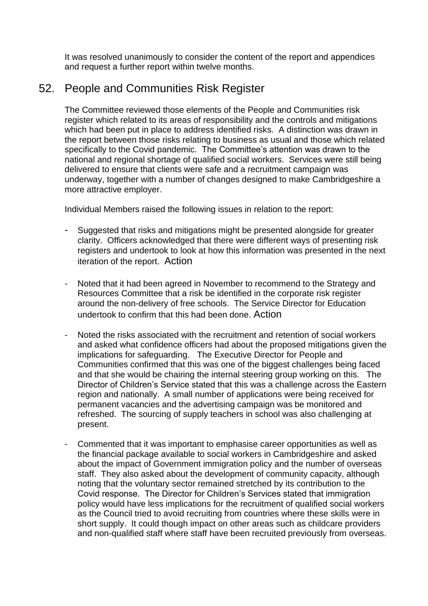It was resolved unanimously to consider the content of the report and appendices and request a further report within twelve months.

## 52. People and Communities Risk Register

The Committee reviewed those elements of the People and Communities risk register which related to its areas of responsibility and the controls and mitigations which had been put in place to address identified risks. A distinction was drawn in the report between those risks relating to business as usual and those which related specifically to the Covid pandemic. The Committee's attention was drawn to the national and regional shortage of qualified social workers. Services were still being delivered to ensure that clients were safe and a recruitment campaign was underway, together with a number of changes designed to make Cambridgeshire a more attractive employer.

Individual Members raised the following issues in relation to the report:

- Suggested that risks and mitigations might be presented alongside for greater clarity. Officers acknowledged that there were different ways of presenting risk registers and undertook to look at how this information was presented in the next iteration of the report. Action
- Noted that it had been agreed in November to recommend to the Strategy and Resources Committee that a risk be identified in the corporate risk register around the non-delivery of free schools. The Service Director for Education undertook to confirm that this had been done. Action
- Noted the risks associated with the recruitment and retention of social workers and asked what confidence officers had about the proposed mitigations given the implications for safeguarding. The Executive Director for People and Communities confirmed that this was one of the biggest challenges being faced and that she would be chairing the internal steering group working on this. The Director of Children's Service stated that this was a challenge across the Eastern region and nationally. A small number of applications were being received for permanent vacancies and the advertising campaign was be monitored and refreshed. The sourcing of supply teachers in school was also challenging at present.
- Commented that it was important to emphasise career opportunities as well as the financial package available to social workers in Cambridgeshire and asked about the impact of Government immigration policy and the number of overseas staff. They also asked about the development of community capacity, although noting that the voluntary sector remained stretched by its contribution to the Covid response. The Director for Children's Services stated that immigration policy would have less implications for the recruitment of qualified social workers as the Council tried to avoid recruiting from countries where these skills were in short supply. It could though impact on other areas such as childcare providers and non-qualified staff where staff have been recruited previously from overseas.